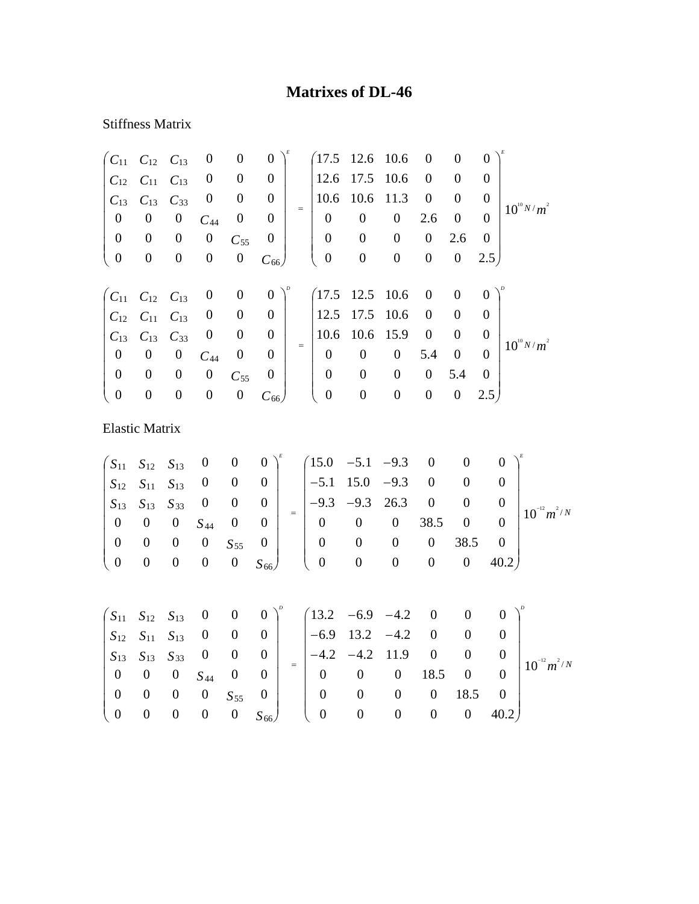## **Matrixes of DL-46**

## Stiffness Matrix

|                                                          | $C_{11}$ $C_{12}$ $C_{13}$ |                  | $\boldsymbol{0}$ | $\boldsymbol{0}$ | $\boldsymbol{0}$ |     |                  | $(17.5 \t12.6 \t10.6$ |                  | $\boldsymbol{0}$ | $\overline{0}$   | $\overline{0}$ |                 |
|----------------------------------------------------------|----------------------------|------------------|------------------|------------------|------------------|-----|------------------|-----------------------|------------------|------------------|------------------|----------------|-----------------|
| $C_{12}$                                                 | $C_{11}$                   | $C_{13}$         | $\boldsymbol{0}$ | $\boldsymbol{0}$ | $\boldsymbol{0}$ |     | 12.6             | 17.5                  | 10.6             | $\overline{0}$   | $\theta$         | $\Omega$       |                 |
| $C_{13}$                                                 | $C_{13}$                   | $C_{33}$         | $\boldsymbol{0}$ | $\boldsymbol{0}$ | $\boldsymbol{0}$ | $=$ | 10.6             | 10.6                  | 11.3             | $\boldsymbol{0}$ | $\theta$         | $\overline{0}$ | $10^{10} N/m^2$ |
| $\boldsymbol{0}$                                         | $\boldsymbol{0}$           | $\boldsymbol{0}$ | $C_{44}$         | $\overline{0}$   | $\boldsymbol{0}$ |     | $\boldsymbol{0}$ | $\boldsymbol{0}$      | $\boldsymbol{0}$ | 2.6              | $\boldsymbol{0}$ | $\Omega$       |                 |
| $\boldsymbol{0}$                                         | $\boldsymbol{0}$           | $\boldsymbol{0}$ | $\boldsymbol{0}$ | $C_{55}$         | $\overline{0}$   |     | $\overline{0}$   | $\boldsymbol{0}$      | $\boldsymbol{0}$ | $\boldsymbol{0}$ | 2.6              | $\Omega$       |                 |
| $\boldsymbol{0}$                                         | $\boldsymbol{0}$           | $\boldsymbol{0}$ | $\boldsymbol{0}$ | $\boldsymbol{0}$ | $C_{66}$         |     | $\boldsymbol{0}$ | $\boldsymbol{0}$      | $\boldsymbol{0}$ | $\boldsymbol{0}$ | $\boldsymbol{0}$ | 2.5            |                 |
|                                                          |                            |                  |                  |                  |                  |     |                  |                       |                  |                  |                  |                |                 |
| $\begin{pmatrix} C_{11} & C_{12} & C_{13} \end{pmatrix}$ |                            |                  | $\boldsymbol{0}$ | $\boldsymbol{0}$ | $\theta$         |     | $(17.5 \t12.5$   |                       | 10.6             | $\mathbf{0}$     | $\overline{0}$   | $\overline{0}$ |                 |
| $C_{12}$                                                 | $C_{11}$                   | $C_{13}$         | $\boldsymbol{0}$ | $\overline{0}$   | $\boldsymbol{0}$ |     | 12.5             | 17.5                  | 10.6             | $\overline{0}$   | $\overline{0}$   | $\Omega$       |                 |
| $C_{13}$                                                 | $C_{13}$                   | $C_{33}$         | $\boldsymbol{0}$ | $\overline{0}$   | $\boldsymbol{0}$ |     | 10.6             | 10.6                  | 15.9             | $\overline{0}$   | $\boldsymbol{0}$ | $\overline{0}$ | $10^{10} N/m^2$ |
| $\boldsymbol{0}$                                         | $\boldsymbol{0}$           | $\boldsymbol{0}$ | $C_{44}$         | $\boldsymbol{0}$ | $\boldsymbol{0}$ | $=$ | $\overline{0}$   | $\boldsymbol{0}$      | $\boldsymbol{0}$ | 5.4              | $\overline{0}$   | $\theta$       |                 |
| $\boldsymbol{0}$                                         | $\boldsymbol{0}$           | $\boldsymbol{0}$ | $\boldsymbol{0}$ | $C_{55}$         | $\boldsymbol{0}$ |     | $\mathbf{0}$     | $\boldsymbol{0}$      | $\boldsymbol{0}$ | $\boldsymbol{0}$ | 5.4              | $\theta$       |                 |
| $\theta$                                                 | $\boldsymbol{0}$           | $\boldsymbol{0}$ | $\boldsymbol{0}$ | $\boldsymbol{0}$ | $C_{66}$         |     | $\boldsymbol{0}$ | $\boldsymbol{0}$      | $\boldsymbol{0}$ | $\boldsymbol{0}$ | $\boldsymbol{0}$ | 2.5            |                 |
| <b>Elastic Matrix</b>                                    |                            |                  |                  |                  |                  |     |                  |                       |                  |                  |                  |                |                 |

$$
\begin{pmatrix}\nS_{11} & S_{12} & S_{13} & 0 & 0 & 0 \\
S_{12} & S_{11} & S_{13} & 0 & 0 & 0 \\
S_{13} & S_{13} & S_{33} & 0 & 0 & 0 \\
0 & 0 & 0 & S_{44} & 0 & 0 \\
0 & 0 & 0 & 0 & S_{55} & 0 \\
0 & 0 & 0 & 0 & 0 & S_{66}\n\end{pmatrix} \begin{pmatrix}\n15.0 & -5.1 & -9.3 & 0 & 0 & 0 \\
-5.1 & 15.0 & -9.3 & 0 & 0 & 0 \\
-9.3 & -9.3 & 26.3 & 0 & 0 & 0 \\
0 & 0 & 0 & 38.5 & 0 & 0 \\
0 & 0 & 0 & 0 & 38.5 & 0 \\
0 & 0 & 0 & 0 & 0 & 40.2\n\end{pmatrix}^{E}
$$

| $\overline{0}$                      |  | $0$ 0 0 $S_{44}$ 0 0 | $S_{12}$ $S_{11}$ $S_{13}$ 0 0 0  <br>$0 \quad 0 \quad 0 \quad S_{55} \quad 0 \quad   \quad  $ | $\begin{pmatrix} S_{11} & S_{12} & S_{13} & 0 & 0 & 0 \end{pmatrix}^{\nu}$ $\begin{pmatrix} 13.2 & -6.9 & -4.2 & 0 & 0 & 0 \end{pmatrix}^{\nu}$<br>$ -6.9 \t13.2 \t-4.2 \t0 \t0 \t0$<br>$S_{13}$ $S_{13}$ $S_{33}$ 0 0 0 $\Big $ $-4.2$ $-4.2$ 11.9 0 0<br>$\begin{array}{ccccccccc}\n & 0 & 0 & 0 & 18.5 & 0 & 0\n\end{array}$ | $0\qquad 0$ |  | $0 \t 0 \t 18.5 \t 0$ | $\left  \frac{1}{10^{12}m^2/N} \right $ |
|-------------------------------------|--|----------------------|------------------------------------------------------------------------------------------------|---------------------------------------------------------------------------------------------------------------------------------------------------------------------------------------------------------------------------------------------------------------------------------------------------------------------------------|-------------|--|-----------------------|-----------------------------------------|
| $(0 \t 0 \t 0 \t 0 \t 0 \t S_{66})$ |  |                      |                                                                                                | $(0 \t 0 \t 0 \t 0 \t 0 \t 40.2)$                                                                                                                                                                                                                                                                                               |             |  |                       |                                         |